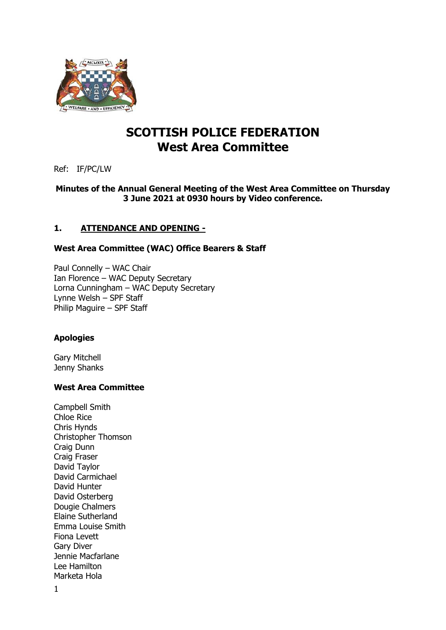

# **SCOTTISH POLICE FEDERATION West Area Committee**

Ref: IF/PC/LW

## **Minutes of the Annual General Meeting of the West Area Committee on Thursday 3 June 2021 at 0930 hours by Video conference.**

## **1. ATTENDANCE AND OPENING -**

## **West Area Committee (WAC) Office Bearers & Staff**

Paul Connelly – WAC Chair Ian Florence – WAC Deputy Secretary Lorna Cunningham – WAC Deputy Secretary Lynne Welsh – SPF Staff Philip Maguire – SPF Staff

## **Apologies**

Gary Mitchell Jenny Shanks

## **West Area Committee**

Campbell Smith Chloe Rice Chris Hynds Christopher Thomson Craig Dunn Craig Fraser David Taylor David Carmichael David Hunter David Osterberg Dougie Chalmers Elaine Sutherland Emma Louise Smith Fiona Levett Gary Diver Jennie Macfarlane Lee Hamilton Marketa Hola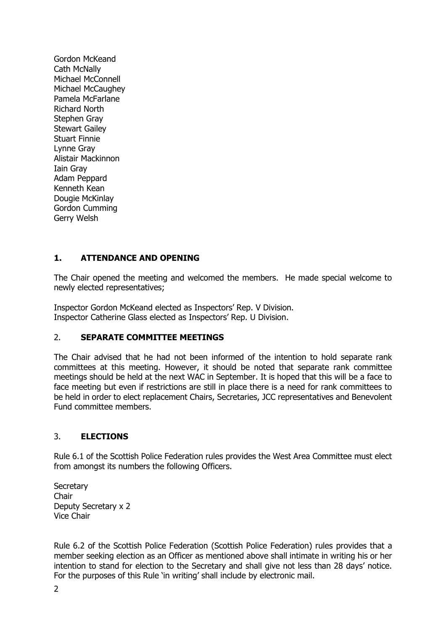Gordon McKeand Cath McNally Michael McConnell Michael McCaughey Pamela McFarlane Richard North Stephen Gray Stewart Gailey Stuart Finnie Lynne Gray Alistair Mackinnon Iain Gray Adam Peppard Kenneth Kean Dougie McKinlay Gordon Cumming Gerry Welsh

## **1. ATTENDANCE AND OPENING**

The Chair opened the meeting and welcomed the members. He made special welcome to newly elected representatives;

Inspector Gordon McKeand elected as Inspectors' Rep. V Division. Inspector Catherine Glass elected as Inspectors' Rep. U Division.

### 2. **SEPARATE COMMITTEE MEETINGS**

The Chair advised that he had not been informed of the intention to hold separate rank committees at this meeting. However, it should be noted that separate rank committee meetings should be held at the next WAC in September. It is hoped that this will be a face to face meeting but even if restrictions are still in place there is a need for rank committees to be held in order to elect replacement Chairs, Secretaries, JCC representatives and Benevolent Fund committee members.

### 3. **ELECTIONS**

Rule 6.1 of the Scottish Police Federation rules provides the West Area Committee must elect from amongst its numbers the following Officers.

**Secretary** Chair Deputy Secretary x 2 Vice Chair

Rule 6.2 of the Scottish Police Federation (Scottish Police Federation) rules provides that a member seeking election as an Officer as mentioned above shall intimate in writing his or her intention to stand for election to the Secretary and shall give not less than 28 days' notice. For the purposes of this Rule 'in writing' shall include by electronic mail.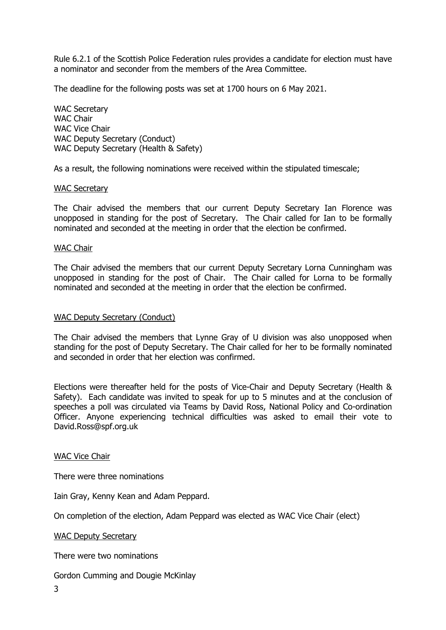Rule 6.2.1 of the Scottish Police Federation rules provides a candidate for election must have a nominator and seconder from the members of the Area Committee.

The deadline for the following posts was set at 1700 hours on 6 May 2021.

WAC Secretary WAC Chair WAC Vice Chair WAC Deputy Secretary (Conduct) WAC Deputy Secretary (Health & Safety)

As a result, the following nominations were received within the stipulated timescale;

#### WAC Secretary

The Chair advised the members that our current Deputy Secretary Ian Florence was unopposed in standing for the post of Secretary. The Chair called for Ian to be formally nominated and seconded at the meeting in order that the election be confirmed.

#### WAC Chair

The Chair advised the members that our current Deputy Secretary Lorna Cunningham was unopposed in standing for the post of Chair. The Chair called for Lorna to be formally nominated and seconded at the meeting in order that the election be confirmed.

#### WAC Deputy Secretary (Conduct)

The Chair advised the members that Lynne Gray of U division was also unopposed when standing for the post of Deputy Secretary. The Chair called for her to be formally nominated and seconded in order that her election was confirmed.

Elections were thereafter held for the posts of Vice-Chair and Deputy Secretary (Health & Safety). Each candidate was invited to speak for up to 5 minutes and at the conclusion of speeches a poll was circulated via Teams by David Ross, National Policy and Co-ordination Officer. Anyone experiencing technical difficulties was asked to email their vote to David.Ross@spf.org.uk

#### WAC Vice Chair

There were three nominations

Iain Gray, Kenny Kean and Adam Peppard.

On completion of the election, Adam Peppard was elected as WAC Vice Chair (elect)

#### WAC Deputy Secretary

There were two nominations

Gordon Cumming and Dougie McKinlay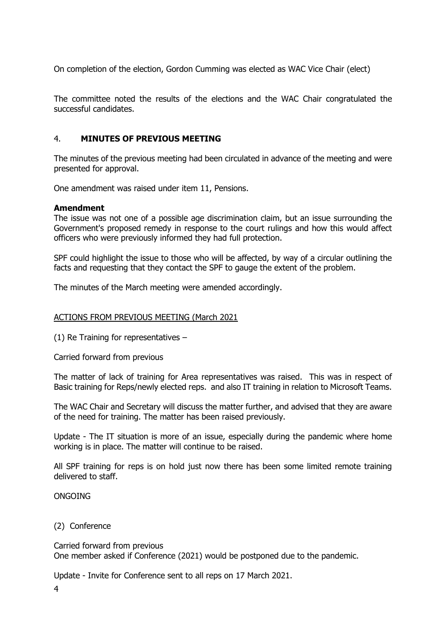On completion of the election, Gordon Cumming was elected as WAC Vice Chair (elect)

The committee noted the results of the elections and the WAC Chair congratulated the successful candidates.

## 4. **MINUTES OF PREVIOUS MEETING**

The minutes of the previous meeting had been circulated in advance of the meeting and were presented for approval.

One amendment was raised under item 11, Pensions.

#### **Amendment**

The issue was not one of a possible age discrimination claim, but an issue surrounding the Government's proposed remedy in response to the court rulings and how this would affect officers who were previously informed they had full protection.

SPF could highlight the issue to those who will be affected, by way of a circular outlining the facts and requesting that they contact the SPF to gauge the extent of the problem.

The minutes of the March meeting were amended accordingly.

#### ACTIONS FROM PREVIOUS MEETING (March 2021

(1) Re Training for representatives –

Carried forward from previous

The matter of lack of training for Area representatives was raised. This was in respect of Basic training for Reps/newly elected reps. and also IT training in relation to Microsoft Teams.

The WAC Chair and Secretary will discuss the matter further, and advised that they are aware of the need for training. The matter has been raised previously.

Update - The IT situation is more of an issue, especially during the pandemic where home working is in place. The matter will continue to be raised.

All SPF training for reps is on hold just now there has been some limited remote training delivered to staff.

## ONGOING

### (2) Conference

Carried forward from previous One member asked if Conference (2021) would be postponed due to the pandemic.

Update - Invite for Conference sent to all reps on 17 March 2021.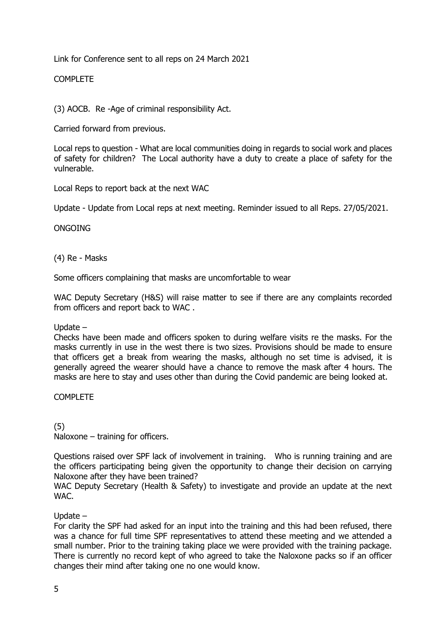Link for Conference sent to all reps on 24 March 2021

**COMPLETE** 

(3) AOCB. Re -Age of criminal responsibility Act.

Carried forward from previous.

Local reps to question - What are local communities doing in regards to social work and places of safety for children? The Local authority have a duty to create a place of safety for the vulnerable.

Local Reps to report back at the next WAC

Update - Update from Local reps at next meeting. Reminder issued to all Reps. 27/05/2021.

ONGOING

(4) Re - Masks

Some officers complaining that masks are uncomfortable to wear

WAC Deputy Secretary (H&S) will raise matter to see if there are any complaints recorded from officers and report back to WAC .

Update –

Checks have been made and officers spoken to during welfare visits re the masks. For the masks currently in use in the west there is two sizes. Provisions should be made to ensure that officers get a break from wearing the masks, although no set time is advised, it is generally agreed the wearer should have a chance to remove the mask after 4 hours. The masks are here to stay and uses other than during the Covid pandemic are being looked at.

**COMPLETE** 

(5) Naloxone – training for officers.

Questions raised over SPF lack of involvement in training. Who is running training and are the officers participating being given the opportunity to change their decision on carrying Naloxone after they have been trained?

WAC Deputy Secretary (Health & Safety) to investigate and provide an update at the next WAC.

Update –

For clarity the SPF had asked for an input into the training and this had been refused, there was a chance for full time SPF representatives to attend these meeting and we attended a small number. Prior to the training taking place we were provided with the training package. There is currently no record kept of who agreed to take the Naloxone packs so if an officer changes their mind after taking one no one would know.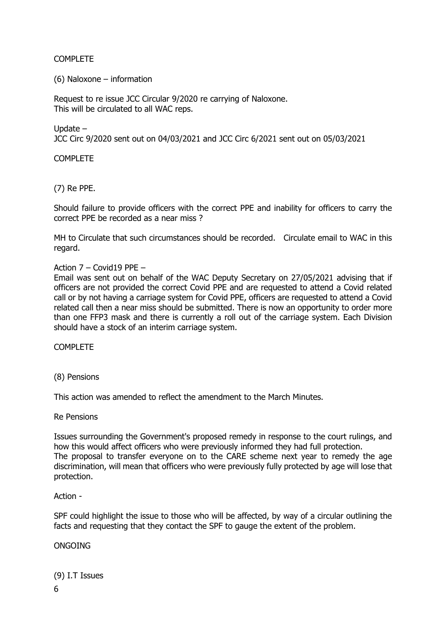## **COMPLETE**

### (6) Naloxone – information

Request to re issue JCC Circular 9/2020 re carrying of Naloxone. This will be circulated to all WAC reps.

Update – JCC Circ 9/2020 sent out on 04/03/2021 and JCC Circ 6/2021 sent out on 05/03/2021

**COMPLETE** 

(7) Re PPE.

Should failure to provide officers with the correct PPE and inability for officers to carry the correct PPE be recorded as a near miss ?

MH to Circulate that such circumstances should be recorded. Circulate email to WAC in this regard.

## Action 7 – Covid19 PPE –

Email was sent out on behalf of the WAC Deputy Secretary on 27/05/2021 advising that if officers are not provided the correct Covid PPE and are requested to attend a Covid related call or by not having a carriage system for Covid PPE, officers are requested to attend a Covid related call then a near miss should be submitted. There is now an opportunity to order more than one FFP3 mask and there is currently a roll out of the carriage system. Each Division should have a stock of an interim carriage system.

COMPI FTF

### (8) Pensions

This action was amended to reflect the amendment to the March Minutes.

### Re Pensions

Issues surrounding the Government's proposed remedy in response to the court rulings, and how this would affect officers who were previously informed they had full protection. The proposal to transfer everyone on to the CARE scheme next year to remedy the age discrimination, will mean that officers who were previously fully protected by age will lose that protection.

### Action -

SPF could highlight the issue to those who will be affected, by way of a circular outlining the facts and requesting that they contact the SPF to gauge the extent of the problem.

### **ONGOING**

(9) I.T Issues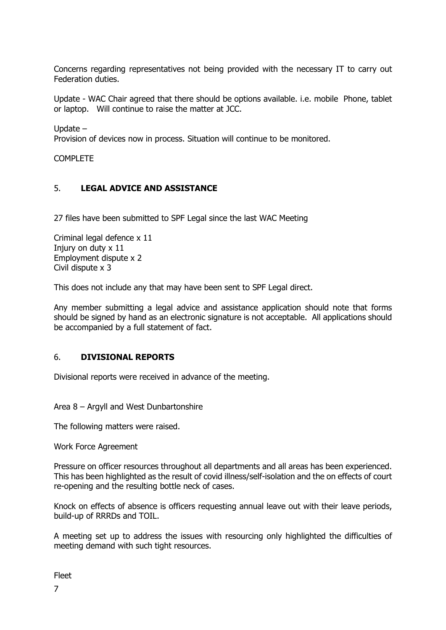Concerns regarding representatives not being provided with the necessary IT to carry out Federation duties.

Update - WAC Chair agreed that there should be options available. i.e. mobile Phone, tablet or laptop. Will continue to raise the matter at JCC.

Update – Provision of devices now in process. Situation will continue to be monitored.

**COMPLETE** 

## 5. **LEGAL ADVICE AND ASSISTANCE**

27 files have been submitted to SPF Legal since the last WAC Meeting

Criminal legal defence x 11 Injury on duty x 11 Employment dispute x 2 Civil dispute x 3

This does not include any that may have been sent to SPF Legal direct.

Any member submitting a legal advice and assistance application should note that forms should be signed by hand as an electronic signature is not acceptable. All applications should be accompanied by a full statement of fact.

## 6. **DIVISIONAL REPORTS**

Divisional reports were received in advance of the meeting.

Area 8 – Argyll and West Dunbartonshire

The following matters were raised.

Work Force Agreement

Pressure on officer resources throughout all departments and all areas has been experienced. This has been highlighted as the result of covid illness/self-isolation and the on effects of court re-opening and the resulting bottle neck of cases.

Knock on effects of absence is officers requesting annual leave out with their leave periods, build-up of RRRDs and TOIL.

A meeting set up to address the issues with resourcing only highlighted the difficulties of meeting demand with such tight resources.

Fleet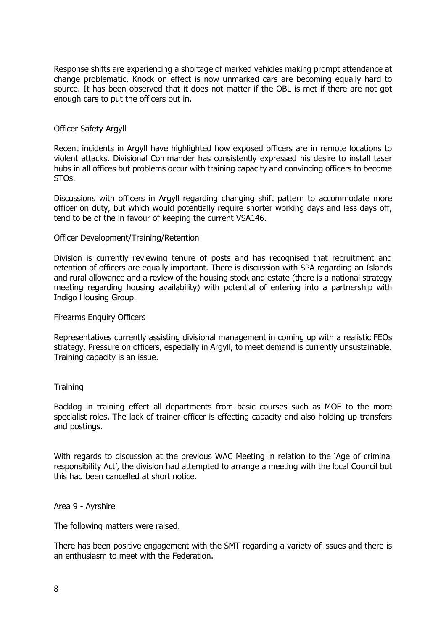Response shifts are experiencing a shortage of marked vehicles making prompt attendance at change problematic. Knock on effect is now unmarked cars are becoming equally hard to source. It has been observed that it does not matter if the OBL is met if there are not got enough cars to put the officers out in.

### Officer Safety Argyll

Recent incidents in Argyll have highlighted how exposed officers are in remote locations to violent attacks. Divisional Commander has consistently expressed his desire to install taser hubs in all offices but problems occur with training capacity and convincing officers to become STOs.

Discussions with officers in Argyll regarding changing shift pattern to accommodate more officer on duty, but which would potentially require shorter working days and less days off, tend to be of the in favour of keeping the current VSA146.

#### Officer Development/Training/Retention

Division is currently reviewing tenure of posts and has recognised that recruitment and retention of officers are equally important. There is discussion with SPA regarding an Islands and rural allowance and a review of the housing stock and estate (there is a national strategy meeting regarding housing availability) with potential of entering into a partnership with Indigo Housing Group.

#### Firearms Enquiry Officers

Representatives currently assisting divisional management in coming up with a realistic FEOs strategy. Pressure on officers, especially in Argyll, to meet demand is currently unsustainable. Training capacity is an issue.

#### **Training**

Backlog in training effect all departments from basic courses such as MOE to the more specialist roles. The lack of trainer officer is effecting capacity and also holding up transfers and postings.

With regards to discussion at the previous WAC Meeting in relation to the 'Age of criminal responsibility Act', the division had attempted to arrange a meeting with the local Council but this had been cancelled at short notice.

#### Area 9 - Ayrshire

The following matters were raised.

There has been positive engagement with the SMT regarding a variety of issues and there is an enthusiasm to meet with the Federation.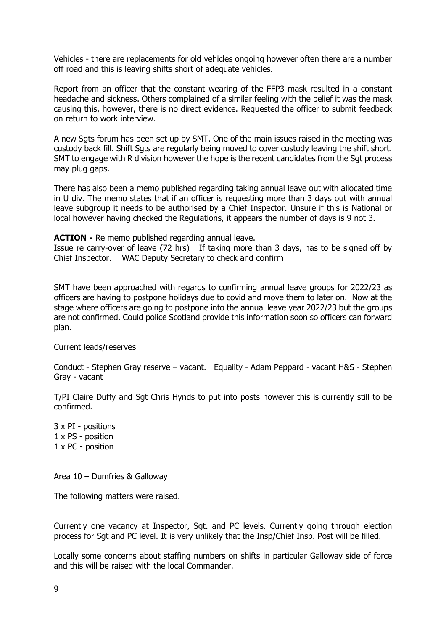Vehicles - there are replacements for old vehicles ongoing however often there are a number off road and this is leaving shifts short of adequate vehicles.

Report from an officer that the constant wearing of the FFP3 mask resulted in a constant headache and sickness. Others complained of a similar feeling with the belief it was the mask causing this, however, there is no direct evidence. Requested the officer to submit feedback on return to work interview.

A new Sgts forum has been set up by SMT. One of the main issues raised in the meeting was custody back fill. Shift Sgts are regularly being moved to cover custody leaving the shift short. SMT to engage with R division however the hope is the recent candidates from the Sgt process may plug gaps.

There has also been a memo published regarding taking annual leave out with allocated time in U div. The memo states that if an officer is requesting more than 3 days out with annual leave subgroup it needs to be authorised by a Chief Inspector. Unsure if this is National or local however having checked the Regulations, it appears the number of days is 9 not 3.

**ACTION -** Re memo published regarding annual leave.

Issue re carry-over of leave (72 hrs) If taking more than 3 days, has to be signed off by Chief Inspector. WAC Deputy Secretary to check and confirm

SMT have been approached with regards to confirming annual leave groups for 2022/23 as officers are having to postpone holidays due to covid and move them to later on. Now at the stage where officers are going to postpone into the annual leave year 2022/23 but the groups are not confirmed. Could police Scotland provide this information soon so officers can forward plan.

Current leads/reserves

Conduct - Stephen Gray reserve – vacant. Equality - Adam Peppard - vacant H&S - Stephen Gray - vacant

T/PI Claire Duffy and Sgt Chris Hynds to put into posts however this is currently still to be confirmed.

3 x PI - positions 1 x PS - position 1 x PC - position

Area 10 – Dumfries & Galloway

The following matters were raised.

Currently one vacancy at Inspector, Sgt. and PC levels. Currently going through election process for Sgt and PC level. It is very unlikely that the Insp/Chief Insp. Post will be filled.

Locally some concerns about staffing numbers on shifts in particular Galloway side of force and this will be raised with the local Commander.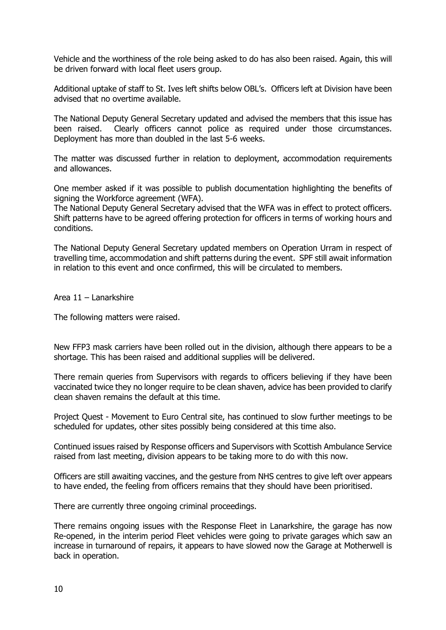Vehicle and the worthiness of the role being asked to do has also been raised. Again, this will be driven forward with local fleet users group.

Additional uptake of staff to St. Ives left shifts below OBL's. Officers left at Division have been advised that no overtime available.

The National Deputy General Secretary updated and advised the members that this issue has been raised. Clearly officers cannot police as required under those circumstances. Deployment has more than doubled in the last 5-6 weeks.

The matter was discussed further in relation to deployment, accommodation requirements and allowances.

One member asked if it was possible to publish documentation highlighting the benefits of signing the Workforce agreement (WFA).

The National Deputy General Secretary advised that the WFA was in effect to protect officers. Shift patterns have to be agreed offering protection for officers in terms of working hours and conditions.

The National Deputy General Secretary updated members on Operation Urram in respect of travelling time, accommodation and shift patterns during the event. SPF still await information in relation to this event and once confirmed, this will be circulated to members.

Area 11 – Lanarkshire

The following matters were raised.

New FFP3 mask carriers have been rolled out in the division, although there appears to be a shortage. This has been raised and additional supplies will be delivered.

There remain queries from Supervisors with regards to officers believing if they have been vaccinated twice they no longer require to be clean shaven, advice has been provided to clarify clean shaven remains the default at this time.

Project Quest - Movement to Euro Central site, has continued to slow further meetings to be scheduled for updates, other sites possibly being considered at this time also.

Continued issues raised by Response officers and Supervisors with Scottish Ambulance Service raised from last meeting, division appears to be taking more to do with this now.

Officers are still awaiting vaccines, and the gesture from NHS centres to give left over appears to have ended, the feeling from officers remains that they should have been prioritised.

There are currently three ongoing criminal proceedings.

There remains ongoing issues with the Response Fleet in Lanarkshire, the garage has now Re-opened, in the interim period Fleet vehicles were going to private garages which saw an increase in turnaround of repairs, it appears to have slowed now the Garage at Motherwell is back in operation.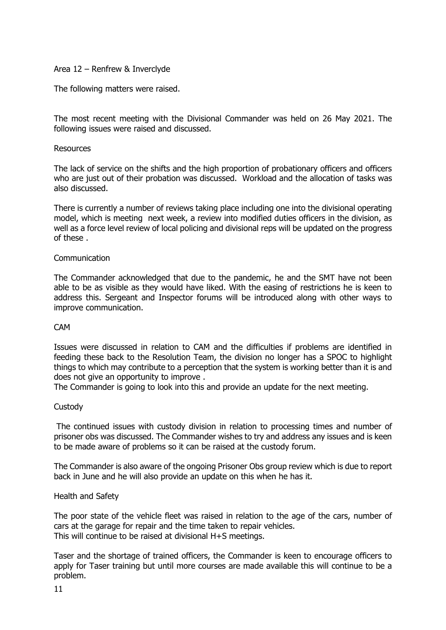Area 12 – Renfrew & Inverclyde

The following matters were raised.

The most recent meeting with the Divisional Commander was held on 26 May 2021. The following issues were raised and discussed.

### Resources

The lack of service on the shifts and the high proportion of probationary officers and officers who are just out of their probation was discussed. Workload and the allocation of tasks was also discussed.

There is currently a number of reviews taking place including one into the divisional operating model, which is meeting next week, a review into modified duties officers in the division, as well as a force level review of local policing and divisional reps will be updated on the progress of these .

## Communication

The Commander acknowledged that due to the pandemic, he and the SMT have not been able to be as visible as they would have liked. With the easing of restrictions he is keen to address this. Sergeant and Inspector forums will be introduced along with other ways to improve communication.

### CAM

Issues were discussed in relation to CAM and the difficulties if problems are identified in feeding these back to the Resolution Team, the division no longer has a SPOC to highlight things to which may contribute to a perception that the system is working better than it is and does not give an opportunity to improve .

The Commander is going to look into this and provide an update for the next meeting.

### **Custody**

 The continued issues with custody division in relation to processing times and number of prisoner obs was discussed. The Commander wishes to try and address any issues and is keen to be made aware of problems so it can be raised at the custody forum.

The Commander is also aware of the ongoing Prisoner Obs group review which is due to report back in June and he will also provide an update on this when he has it.

### Health and Safety

The poor state of the vehicle fleet was raised in relation to the age of the cars, number of cars at the garage for repair and the time taken to repair vehicles. This will continue to be raised at divisional H+S meetings.

Taser and the shortage of trained officers, the Commander is keen to encourage officers to apply for Taser training but until more courses are made available this will continue to be a problem.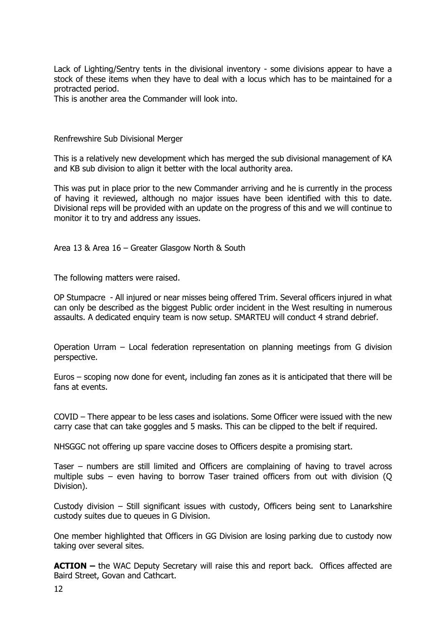Lack of Lighting/Sentry tents in the divisional inventory - some divisions appear to have a stock of these items when they have to deal with a locus which has to be maintained for a protracted period.

This is another area the Commander will look into.

Renfrewshire Sub Divisional Merger

This is a relatively new development which has merged the sub divisional management of KA and KB sub division to align it better with the local authority area.

This was put in place prior to the new Commander arriving and he is currently in the process of having it reviewed, although no major issues have been identified with this to date. Divisional reps will be provided with an update on the progress of this and we will continue to monitor it to try and address any issues.

Area 13 & Area 16 – Greater Glasgow North & South

The following matters were raised.

OP Stumpacre - All injured or near misses being offered Trim. Several officers injured in what can only be described as the biggest Public order incident in the West resulting in numerous assaults. A dedicated enquiry team is now setup. SMARTEU will conduct 4 strand debrief.

Operation Urram – Local federation representation on planning meetings from G division perspective.

Euros – scoping now done for event, including fan zones as it is anticipated that there will be fans at events.

COVID – There appear to be less cases and isolations. Some Officer were issued with the new carry case that can take goggles and 5 masks. This can be clipped to the belt if required.

NHSGGC not offering up spare vaccine doses to Officers despite a promising start.

Taser – numbers are still limited and Officers are complaining of having to travel across multiple subs – even having to borrow Taser trained officers from out with division (Q Division).

Custody division – Still significant issues with custody, Officers being sent to Lanarkshire custody suites due to queues in G Division.

One member highlighted that Officers in GG Division are losing parking due to custody now taking over several sites.

**ACTION** – the WAC Deputy Secretary will raise this and report back. Offices affected are Baird Street, Govan and Cathcart.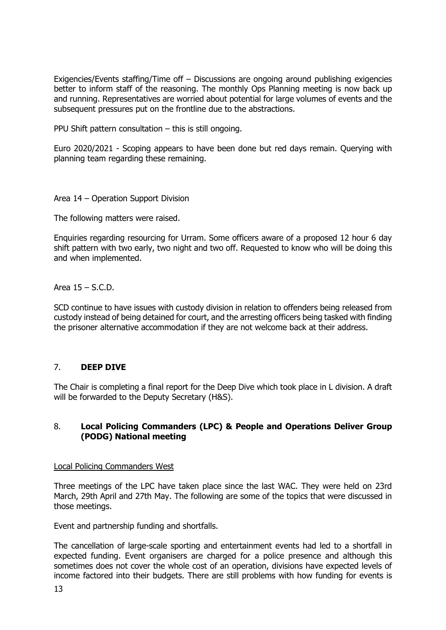Exigencies/Events staffing/Time off – Discussions are ongoing around publishing exigencies better to inform staff of the reasoning. The monthly Ops Planning meeting is now back up and running. Representatives are worried about potential for large volumes of events and the subsequent pressures put on the frontline due to the abstractions.

PPU Shift pattern consultation – this is still ongoing.

Euro 2020/2021 - Scoping appears to have been done but red days remain. Querying with planning team regarding these remaining.

Area 14 – Operation Support Division

The following matters were raised.

Enquiries regarding resourcing for Urram. Some officers aware of a proposed 12 hour 6 day shift pattern with two early, two night and two off. Requested to know who will be doing this and when implemented.

Area 15 – S.C.D.

SCD continue to have issues with custody division in relation to offenders being released from custody instead of being detained for court, and the arresting officers being tasked with finding the prisoner alternative accommodation if they are not welcome back at their address.

### 7. **DEEP DIVE**

The Chair is completing a final report for the Deep Dive which took place in L division. A draft will be forwarded to the Deputy Secretary (H&S).

## 8. **Local Policing Commanders (LPC) & People and Operations Deliver Group (PODG) National meeting**

### Local Policing Commanders West

Three meetings of the LPC have taken place since the last WAC. They were held on 23rd March, 29th April and 27th May. The following are some of the topics that were discussed in those meetings.

Event and partnership funding and shortfalls.

The cancellation of large-scale sporting and entertainment events had led to a shortfall in expected funding. Event organisers are charged for a police presence and although this sometimes does not cover the whole cost of an operation, divisions have expected levels of income factored into their budgets. There are still problems with how funding for events is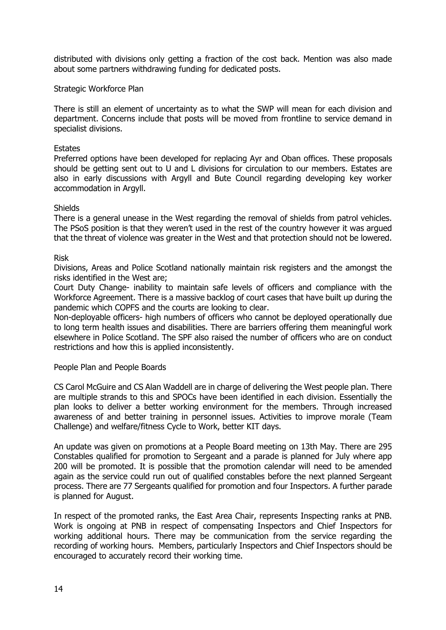distributed with divisions only getting a fraction of the cost back. Mention was also made about some partners withdrawing funding for dedicated posts.

### Strategic Workforce Plan

There is still an element of uncertainty as to what the SWP will mean for each division and department. Concerns include that posts will be moved from frontline to service demand in specialist divisions.

### **Estates**

Preferred options have been developed for replacing Ayr and Oban offices. These proposals should be getting sent out to U and L divisions for circulation to our members. Estates are also in early discussions with Argyll and Bute Council regarding developing key worker accommodation in Argyll.

#### Shields

There is a general unease in the West regarding the removal of shields from patrol vehicles. The PSoS position is that they weren't used in the rest of the country however it was argued that the threat of violence was greater in the West and that protection should not be lowered.

#### Risk

Divisions, Areas and Police Scotland nationally maintain risk registers and the amongst the risks identified in the West are;

Court Duty Change- inability to maintain safe levels of officers and compliance with the Workforce Agreement. There is a massive backlog of court cases that have built up during the pandemic which COPFS and the courts are looking to clear.

Non-deployable officers- high numbers of officers who cannot be deployed operationally due to long term health issues and disabilities. There are barriers offering them meaningful work elsewhere in Police Scotland. The SPF also raised the number of officers who are on conduct restrictions and how this is applied inconsistently.

### People Plan and People Boards

CS Carol McGuire and CS Alan Waddell are in charge of delivering the West people plan. There are multiple strands to this and SPOCs have been identified in each division. Essentially the plan looks to deliver a better working environment for the members. Through increased awareness of and better training in personnel issues. Activities to improve morale (Team Challenge) and welfare/fitness Cycle to Work, better KIT days.

An update was given on promotions at a People Board meeting on 13th May. There are 295 Constables qualified for promotion to Sergeant and a parade is planned for July where app 200 will be promoted. It is possible that the promotion calendar will need to be amended again as the service could run out of qualified constables before the next planned Sergeant process. There are 77 Sergeants qualified for promotion and four Inspectors. A further parade is planned for August.

In respect of the promoted ranks, the East Area Chair, represents Inspecting ranks at PNB. Work is ongoing at PNB in respect of compensating Inspectors and Chief Inspectors for working additional hours. There may be communication from the service regarding the recording of working hours. Members, particularly Inspectors and Chief Inspectors should be encouraged to accurately record their working time.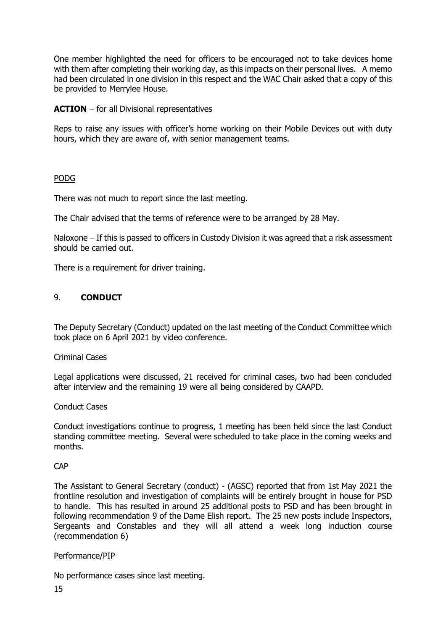One member highlighted the need for officers to be encouraged not to take devices home with them after completing their working day, as this impacts on their personal lives. A memo had been circulated in one division in this respect and the WAC Chair asked that a copy of this be provided to Merrylee House.

**ACTION** – for all Divisional representatives

Reps to raise any issues with officer's home working on their Mobile Devices out with duty hours, which they are aware of, with senior management teams.

## PODG

There was not much to report since the last meeting.

The Chair advised that the terms of reference were to be arranged by 28 May.

Naloxone – If this is passed to officers in Custody Division it was agreed that a risk assessment should be carried out.

There is a requirement for driver training.

## 9. **CONDUCT**

The Deputy Secretary (Conduct) updated on the last meeting of the Conduct Committee which took place on 6 April 2021 by video conference.

Criminal Cases

Legal applications were discussed, 21 received for criminal cases, two had been concluded after interview and the remaining 19 were all being considered by CAAPD.

### Conduct Cases

Conduct investigations continue to progress, 1 meeting has been held since the last Conduct standing committee meeting. Several were scheduled to take place in the coming weeks and months.

### **CAP**

The Assistant to General Secretary (conduct) - (AGSC) reported that from 1st May 2021 the frontline resolution and investigation of complaints will be entirely brought in house for PSD to handle. This has resulted in around 25 additional posts to PSD and has been brought in following recommendation 9 of the Dame Elish report. The 25 new posts include Inspectors, Sergeants and Constables and they will all attend a week long induction course (recommendation 6)

Performance/PIP

No performance cases since last meeting.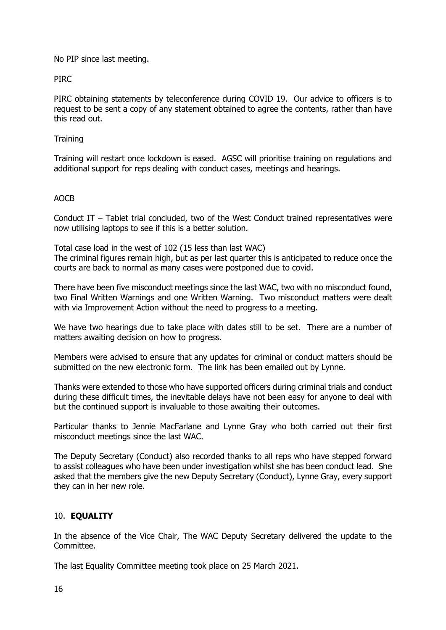No PIP since last meeting.

PIRC

PIRC obtaining statements by teleconference during COVID 19. Our advice to officers is to request to be sent a copy of any statement obtained to agree the contents, rather than have this read out.

## **Training**

Training will restart once lockdown is eased. AGSC will prioritise training on regulations and additional support for reps dealing with conduct cases, meetings and hearings.

## AOCB

Conduct IT – Tablet trial concluded, two of the West Conduct trained representatives were now utilising laptops to see if this is a better solution.

Total case load in the west of 102 (15 less than last WAC)

The criminal figures remain high, but as per last quarter this is anticipated to reduce once the courts are back to normal as many cases were postponed due to covid.

There have been five misconduct meetings since the last WAC, two with no misconduct found, two Final Written Warnings and one Written Warning. Two misconduct matters were dealt with via Improvement Action without the need to progress to a meeting.

We have two hearings due to take place with dates still to be set. There are a number of matters awaiting decision on how to progress.

Members were advised to ensure that any updates for criminal or conduct matters should be submitted on the new electronic form. The link has been emailed out by Lynne.

Thanks were extended to those who have supported officers during criminal trials and conduct during these difficult times, the inevitable delays have not been easy for anyone to deal with but the continued support is invaluable to those awaiting their outcomes.

Particular thanks to Jennie MacFarlane and Lynne Gray who both carried out their first misconduct meetings since the last WAC.

The Deputy Secretary (Conduct) also recorded thanks to all reps who have stepped forward to assist colleagues who have been under investigation whilst she has been conduct lead. She asked that the members give the new Deputy Secretary (Conduct), Lynne Gray, every support they can in her new role.

## 10. **EQUALITY**

In the absence of the Vice Chair, The WAC Deputy Secretary delivered the update to the Committee.

The last Equality Committee meeting took place on 25 March 2021.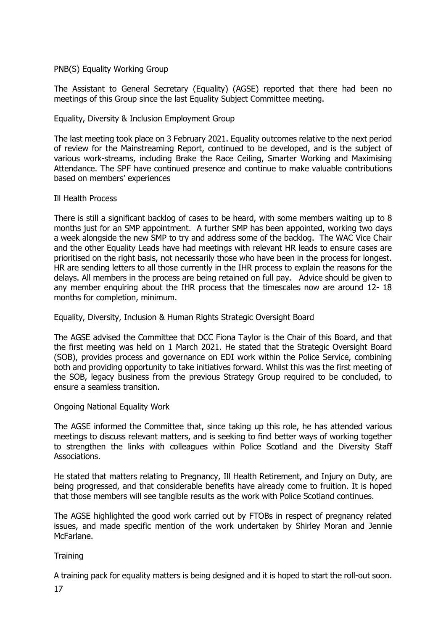## PNB(S) Equality Working Group

The Assistant to General Secretary (Equality) (AGSE) reported that there had been no meetings of this Group since the last Equality Subject Committee meeting.

### Equality, Diversity & Inclusion Employment Group

The last meeting took place on 3 February 2021. Equality outcomes relative to the next period of review for the Mainstreaming Report, continued to be developed, and is the subject of various work-streams, including Brake the Race Ceiling, Smarter Working and Maximising Attendance. The SPF have continued presence and continue to make valuable contributions based on members' experiences

### Ill Health Process

There is still a significant backlog of cases to be heard, with some members waiting up to 8 months just for an SMP appointment. A further SMP has been appointed, working two days a week alongside the new SMP to try and address some of the backlog. The WAC Vice Chair and the other Equality Leads have had meetings with relevant HR leads to ensure cases are prioritised on the right basis, not necessarily those who have been in the process for longest. HR are sending letters to all those currently in the IHR process to explain the reasons for the delays. All members in the process are being retained on full pay. Advice should be given to any member enquiring about the IHR process that the timescales now are around 12- 18 months for completion, minimum.

Equality, Diversity, Inclusion & Human Rights Strategic Oversight Board

The AGSE advised the Committee that DCC Fiona Taylor is the Chair of this Board, and that the first meeting was held on 1 March 2021. He stated that the Strategic Oversight Board (SOB), provides process and governance on EDI work within the Police Service, combining both and providing opportunity to take initiatives forward. Whilst this was the first meeting of the SOB, legacy business from the previous Strategy Group required to be concluded, to ensure a seamless transition.

### Ongoing National Equality Work

The AGSE informed the Committee that, since taking up this role, he has attended various meetings to discuss relevant matters, and is seeking to find better ways of working together to strengthen the links with colleagues within Police Scotland and the Diversity Staff Associations.

He stated that matters relating to Pregnancy, Ill Health Retirement, and Injury on Duty, are being progressed, and that considerable benefits have already come to fruition. It is hoped that those members will see tangible results as the work with Police Scotland continues.

The AGSE highlighted the good work carried out by FTOBs in respect of pregnancy related issues, and made specific mention of the work undertaken by Shirley Moran and Jennie McFarlane.

**Training** 

17 A training pack for equality matters is being designed and it is hoped to start the roll-out soon.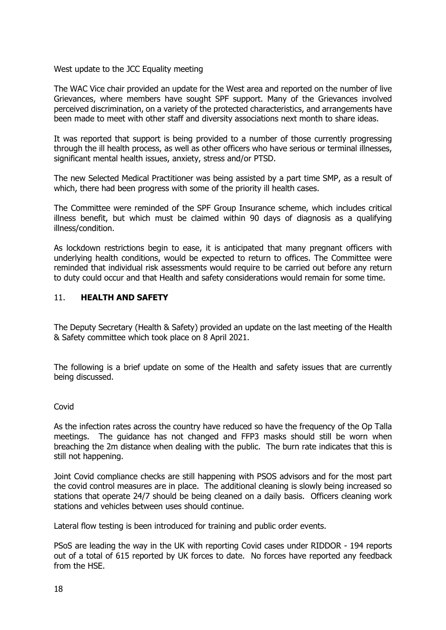### West update to the JCC Equality meeting

The WAC Vice chair provided an update for the West area and reported on the number of live Grievances, where members have sought SPF support. Many of the Grievances involved perceived discrimination, on a variety of the protected characteristics, and arrangements have been made to meet with other staff and diversity associations next month to share ideas.

It was reported that support is being provided to a number of those currently progressing through the ill health process, as well as other officers who have serious or terminal illnesses, significant mental health issues, anxiety, stress and/or PTSD.

The new Selected Medical Practitioner was being assisted by a part time SMP, as a result of which, there had been progress with some of the priority ill health cases.

The Committee were reminded of the SPF Group Insurance scheme, which includes critical illness benefit, but which must be claimed within 90 days of diagnosis as a qualifying illness/condition.

As lockdown restrictions begin to ease, it is anticipated that many pregnant officers with underlying health conditions, would be expected to return to offices. The Committee were reminded that individual risk assessments would require to be carried out before any return to duty could occur and that Health and safety considerations would remain for some time.

## 11. **HEALTH AND SAFETY**

The Deputy Secretary (Health & Safety) provided an update on the last meeting of the Health & Safety committee which took place on 8 April 2021.

The following is a brief update on some of the Health and safety issues that are currently being discussed.

### Covid

As the infection rates across the country have reduced so have the frequency of the Op Talla meetings. The guidance has not changed and FFP3 masks should still be worn when breaching the 2m distance when dealing with the public. The burn rate indicates that this is still not happening.

Joint Covid compliance checks are still happening with PSOS advisors and for the most part the covid control measures are in place. The additional cleaning is slowly being increased so stations that operate 24/7 should be being cleaned on a daily basis. Officers cleaning work stations and vehicles between uses should continue.

Lateral flow testing is been introduced for training and public order events.

PSoS are leading the way in the UK with reporting Covid cases under RIDDOR - 194 reports out of a total of 615 reported by UK forces to date. No forces have reported any feedback from the HSE.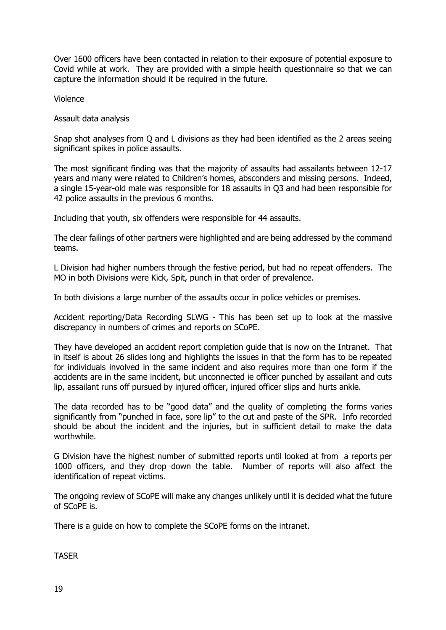Over 1600 officers have been contacted in relation to their exposure of potential exposure to Covid while at work. They are provided with a simple health questionnaire so that we can capture the information should it be required in the future.

Violence

Assault data analysis

Snap shot analyses from Q and L divisions as they had been identified as the 2 areas seeing significant spikes in police assaults.

The most significant finding was that the majority of assaults had assailants between 12-17 years and many were related to Children's homes, absconders and missing persons. Indeed, a single 15-year-old male was responsible for 18 assaults in Q3 and had been responsible for 42 police assaults in the previous 6 months.

Including that youth, six offenders were responsible for 44 assaults.

The clear failings of other partners were highlighted and are being addressed by the command teams.

L Division had higher numbers through the festive period, but had no repeat offenders. The MO in both Divisions were Kick, Spit, punch in that order of prevalence.

In both divisions a large number of the assaults occur in police vehicles or premises.

Accident reporting/Data Recording SLWG - This has been set up to look at the massive discrepancy in numbers of crimes and reports on SCoPE.

They have developed an accident report completion guide that is now on the Intranet. That in itself is about 26 slides long and highlights the issues in that the form has to be repeated for individuals involved in the same incident and also requires more than one form if the accidents are in the same incident, but unconnected ie officer punched by assailant and cuts lip, assailant runs off pursued by injured officer, injured officer slips and hurts ankle.

The data recorded has to be "good data" and the quality of completing the forms varies significantly from "punched in face, sore lip" to the cut and paste of the SPR. Info recorded should be about the incident and the injuries, but in sufficient detail to make the data worthwhile.

G Division have the highest number of submitted reports until looked at from a reports per 1000 officers, and they drop down the table. Number of reports will also affect the identification of repeat victims.

The ongoing review of SCoPE will make any changes unlikely until it is decided what the future of SCoPE is.

There is a guide on how to complete the SCoPE forms on the intranet.

**TASER**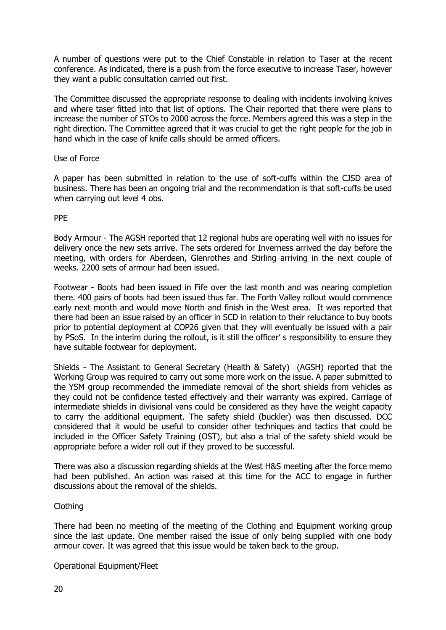A number of questions were put to the Chief Constable in relation to Taser at the recent conference. As indicated, there is a push from the force executive to increase Taser, however they want a public consultation carried out first.

The Committee discussed the appropriate response to dealing with incidents involving knives and where taser fitted into that list of options. The Chair reported that there were plans to increase the number of STOs to 2000 across the force. Members agreed this was a step in the right direction. The Committee agreed that it was crucial to get the right people for the job in hand which in the case of knife calls should be armed officers.

## Use of Force

A paper has been submitted in relation to the use of soft-cuffs within the CJSD area of business. There has been an ongoing trial and the recommendation is that soft-cuffs be used when carrying out level 4 obs.

## PPE

Body Armour - The AGSH reported that 12 regional hubs are operating well with no issues for delivery once the new sets arrive. The sets ordered for Inverness arrived the day before the meeting, with orders for Aberdeen, Glenrothes and Stirling arriving in the next couple of weeks. 2200 sets of armour had been issued.

Footwear - Boots had been issued in Fife over the last month and was nearing completion there. 400 pairs of boots had been issued thus far. The Forth Valley rollout would commence early next month and would move North and finish in the West area. It was reported that there had been an issue raised by an officer in SCD in relation to their reluctance to buy boots prior to potential deployment at COP26 given that they will eventually be issued with a pair by PSoS. In the interim during the rollout, is it still the officer' s responsibility to ensure they have suitable footwear for deployment.

Shields - The Assistant to General Secretary (Health & Safety) (AGSH) reported that the Working Group was required to carry out some more work on the issue. A paper submitted to the YSM group recommended the immediate removal of the short shields from vehicles as they could not be confidence tested effectively and their warranty was expired. Carriage of intermediate shields in divisional vans could be considered as they have the weight capacity to carry the additional equipment. The safety shield (buckler) was then discussed. DCC considered that it would be useful to consider other techniques and tactics that could be included in the Officer Safety Training (OST), but also a trial of the safety shield would be appropriate before a wider roll out if they proved to be successful.

There was also a discussion regarding shields at the West H&S meeting after the force memo had been published. An action was raised at this time for the ACC to engage in further discussions about the removal of the shields.

## Clothing

There had been no meeting of the meeting of the Clothing and Equipment working group since the last update. One member raised the issue of only being supplied with one body armour cover. It was agreed that this issue would be taken back to the group.

Operational Equipment/Fleet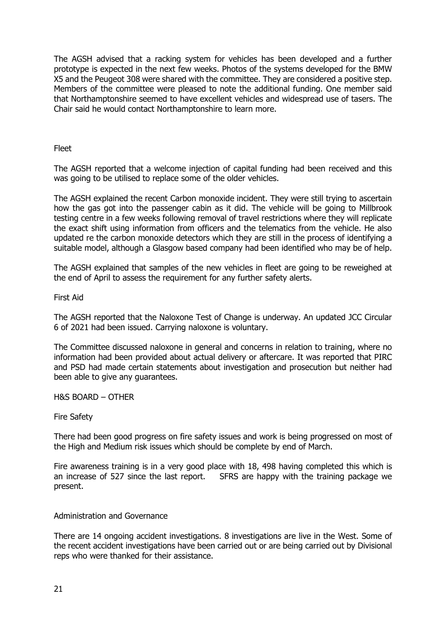The AGSH advised that a racking system for vehicles has been developed and a further prototype is expected in the next few weeks. Photos of the systems developed for the BMW X5 and the Peugeot 308 were shared with the committee. They are considered a positive step. Members of the committee were pleased to note the additional funding. One member said that Northamptonshire seemed to have excellent vehicles and widespread use of tasers. The Chair said he would contact Northamptonshire to learn more.

## Fleet

The AGSH reported that a welcome injection of capital funding had been received and this was going to be utilised to replace some of the older vehicles.

The AGSH explained the recent Carbon monoxide incident. They were still trying to ascertain how the gas got into the passenger cabin as it did. The vehicle will be going to Millbrook testing centre in a few weeks following removal of travel restrictions where they will replicate the exact shift using information from officers and the telematics from the vehicle. He also updated re the carbon monoxide detectors which they are still in the process of identifying a suitable model, although a Glasgow based company had been identified who may be of help.

The AGSH explained that samples of the new vehicles in fleet are going to be reweighed at the end of April to assess the requirement for any further safety alerts.

### First Aid

The AGSH reported that the Naloxone Test of Change is underway. An updated JCC Circular 6 of 2021 had been issued. Carrying naloxone is voluntary.

The Committee discussed naloxone in general and concerns in relation to training, where no information had been provided about actual delivery or aftercare. It was reported that PIRC and PSD had made certain statements about investigation and prosecution but neither had been able to give any guarantees.

### H&S BOARD – OTHER

### Fire Safety

There had been good progress on fire safety issues and work is being progressed on most of the High and Medium risk issues which should be complete by end of March.

Fire awareness training is in a very good place with 18, 498 having completed this which is an increase of 527 since the last report. SFRS are happy with the training package we present.

### Administration and Governance

There are 14 ongoing accident investigations. 8 investigations are live in the West. Some of the recent accident investigations have been carried out or are being carried out by Divisional reps who were thanked for their assistance.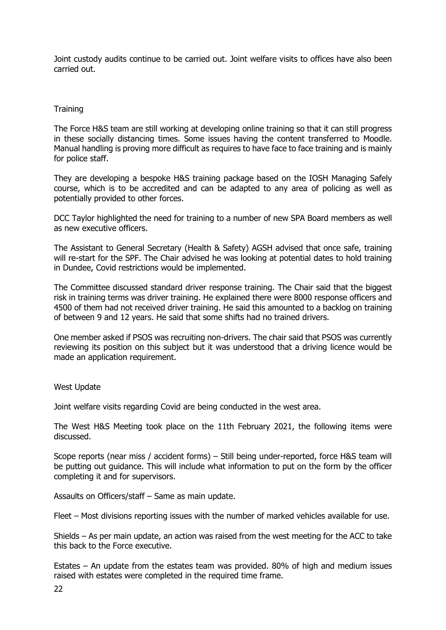Joint custody audits continue to be carried out. Joint welfare visits to offices have also been carried out.

### **Training**

The Force H&S team are still working at developing online training so that it can still progress in these socially distancing times. Some issues having the content transferred to Moodle. Manual handling is proving more difficult as requires to have face to face training and is mainly for police staff.

They are developing a bespoke H&S training package based on the IOSH Managing Safely course, which is to be accredited and can be adapted to any area of policing as well as potentially provided to other forces.

DCC Taylor highlighted the need for training to a number of new SPA Board members as well as new executive officers.

The Assistant to General Secretary (Health & Safety) AGSH advised that once safe, training will re-start for the SPF. The Chair advised he was looking at potential dates to hold training in Dundee, Covid restrictions would be implemented.

The Committee discussed standard driver response training. The Chair said that the biggest risk in training terms was driver training. He explained there were 8000 response officers and 4500 of them had not received driver training. He said this amounted to a backlog on training of between 9 and 12 years. He said that some shifts had no trained drivers.

One member asked if PSOS was recruiting non-drivers. The chair said that PSOS was currently reviewing its position on this subject but it was understood that a driving licence would be made an application requirement.

West Update

Joint welfare visits regarding Covid are being conducted in the west area.

The West H&S Meeting took place on the 11th February 2021, the following items were discussed.

Scope reports (near miss / accident forms) – Still being under-reported, force H&S team will be putting out guidance. This will include what information to put on the form by the officer completing it and for supervisors.

Assaults on Officers/staff – Same as main update.

Fleet – Most divisions reporting issues with the number of marked vehicles available for use.

Shields – As per main update, an action was raised from the west meeting for the ACC to take this back to the Force executive.

Estates – An update from the estates team was provided. 80% of high and medium issues raised with estates were completed in the required time frame.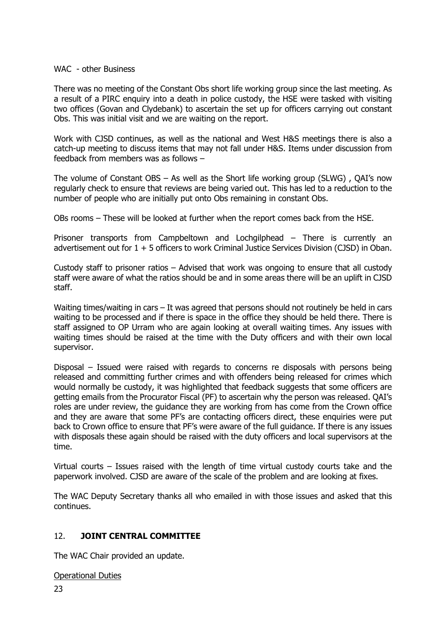### WAC - other Business

There was no meeting of the Constant Obs short life working group since the last meeting. As a result of a PIRC enquiry into a death in police custody, the HSE were tasked with visiting two offices (Govan and Clydebank) to ascertain the set up for officers carrying out constant Obs. This was initial visit and we are waiting on the report.

Work with CJSD continues, as well as the national and West H&S meetings there is also a catch-up meeting to discuss items that may not fall under H&S. Items under discussion from feedback from members was as follows –

The volume of Constant OBS – As well as the Short life working group (SLWG) , QAI's now regularly check to ensure that reviews are being varied out. This has led to a reduction to the number of people who are initially put onto Obs remaining in constant Obs.

OBs rooms – These will be looked at further when the report comes back from the HSE.

Prisoner transports from Campbeltown and Lochgilphead – There is currently an advertisement out for 1 + 5 officers to work Criminal Justice Services Division (CJSD) in Oban.

Custody staff to prisoner ratios – Advised that work was ongoing to ensure that all custody staff were aware of what the ratios should be and in some areas there will be an uplift in CJSD staff.

Waiting times/waiting in cars – It was agreed that persons should not routinely be held in cars waiting to be processed and if there is space in the office they should be held there. There is staff assigned to OP Urram who are again looking at overall waiting times. Any issues with waiting times should be raised at the time with the Duty officers and with their own local supervisor.

Disposal – Issued were raised with regards to concerns re disposals with persons being released and committing further crimes and with offenders being released for crimes which would normally be custody, it was highlighted that feedback suggests that some officers are getting emails from the Procurator Fiscal (PF) to ascertain why the person was released. QAI's roles are under review, the guidance they are working from has come from the Crown office and they are aware that some PF's are contacting officers direct, these enquiries were put back to Crown office to ensure that PF's were aware of the full guidance. If there is any issues with disposals these again should be raised with the duty officers and local supervisors at the time.

Virtual courts – Issues raised with the length of time virtual custody courts take and the paperwork involved. CJSD are aware of the scale of the problem and are looking at fixes.

The WAC Deputy Secretary thanks all who emailed in with those issues and asked that this continues.

### 12. **JOINT CENTRAL COMMITTEE**

The WAC Chair provided an update.

Operational Duties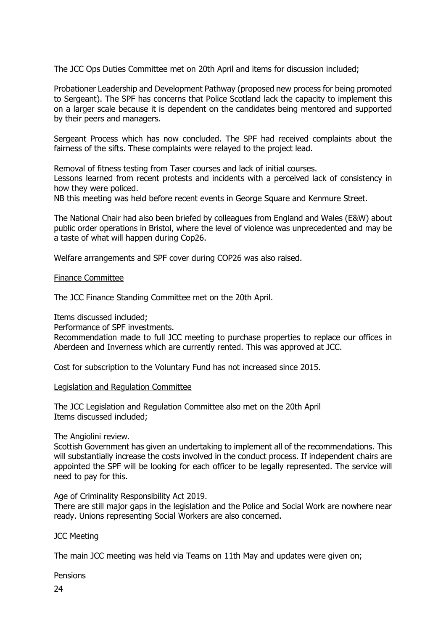The JCC Ops Duties Committee met on 20th April and items for discussion included;

Probationer Leadership and Development Pathway (proposed new process for being promoted to Sergeant). The SPF has concerns that Police Scotland lack the capacity to implement this on a larger scale because it is dependent on the candidates being mentored and supported by their peers and managers.

Sergeant Process which has now concluded. The SPF had received complaints about the fairness of the sifts. These complaints were relayed to the project lead.

Removal of fitness testing from Taser courses and lack of initial courses. Lessons learned from recent protests and incidents with a perceived lack of consistency in how they were policed.

NB this meeting was held before recent events in George Square and Kenmure Street.

The National Chair had also been briefed by colleagues from England and Wales (E&W) about public order operations in Bristol, where the level of violence was unprecedented and may be a taste of what will happen during Cop26.

Welfare arrangements and SPF cover during COP26 was also raised.

#### Finance Committee

The JCC Finance Standing Committee met on the 20th April.

Items discussed included;

Performance of SPF investments.

Recommendation made to full JCC meeting to purchase properties to replace our offices in Aberdeen and Inverness which are currently rented. This was approved at JCC.

Cost for subscription to the Voluntary Fund has not increased since 2015.

#### Legislation and Regulation Committee

The JCC Legislation and Regulation Committee also met on the 20th April Items discussed included;

The Angiolini review.

Scottish Government has given an undertaking to implement all of the recommendations. This will substantially increase the costs involved in the conduct process. If independent chairs are appointed the SPF will be looking for each officer to be legally represented. The service will need to pay for this.

Age of Criminality Responsibility Act 2019.

There are still major gaps in the legislation and the Police and Social Work are nowhere near ready. Unions representing Social Workers are also concerned.

#### JCC Meeting

The main JCC meeting was held via Teams on 11th May and updates were given on;

#### Pensions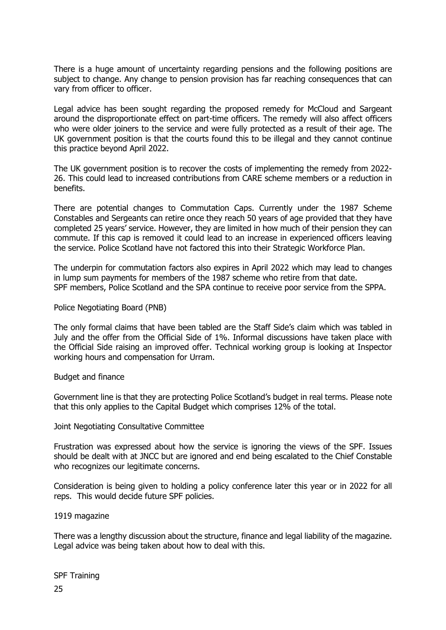There is a huge amount of uncertainty regarding pensions and the following positions are subject to change. Any change to pension provision has far reaching consequences that can vary from officer to officer.

Legal advice has been sought regarding the proposed remedy for McCloud and Sargeant around the disproportionate effect on part-time officers. The remedy will also affect officers who were older joiners to the service and were fully protected as a result of their age. The UK government position is that the courts found this to be illegal and they cannot continue this practice beyond April 2022.

The UK government position is to recover the costs of implementing the remedy from 2022- 26. This could lead to increased contributions from CARE scheme members or a reduction in benefits.

There are potential changes to Commutation Caps. Currently under the 1987 Scheme Constables and Sergeants can retire once they reach 50 years of age provided that they have completed 25 years' service. However, they are limited in how much of their pension they can commute. If this cap is removed it could lead to an increase in experienced officers leaving the service. Police Scotland have not factored this into their Strategic Workforce Plan.

The underpin for commutation factors also expires in April 2022 which may lead to changes in lump sum payments for members of the 1987 scheme who retire from that date. SPF members, Police Scotland and the SPA continue to receive poor service from the SPPA.

Police Negotiating Board (PNB)

The only formal claims that have been tabled are the Staff Side's claim which was tabled in July and the offer from the Official Side of 1%. Informal discussions have taken place with the Official Side raising an improved offer. Technical working group is looking at Inspector working hours and compensation for Urram.

### Budget and finance

Government line is that they are protecting Police Scotland's budget in real terms. Please note that this only applies to the Capital Budget which comprises 12% of the total.

Joint Negotiating Consultative Committee

Frustration was expressed about how the service is ignoring the views of the SPF. Issues should be dealt with at JNCC but are ignored and end being escalated to the Chief Constable who recognizes our legitimate concerns.

Consideration is being given to holding a policy conference later this year or in 2022 for all reps. This would decide future SPF policies.

1919 magazine

There was a lengthy discussion about the structure, finance and legal liability of the magazine. Legal advice was being taken about how to deal with this.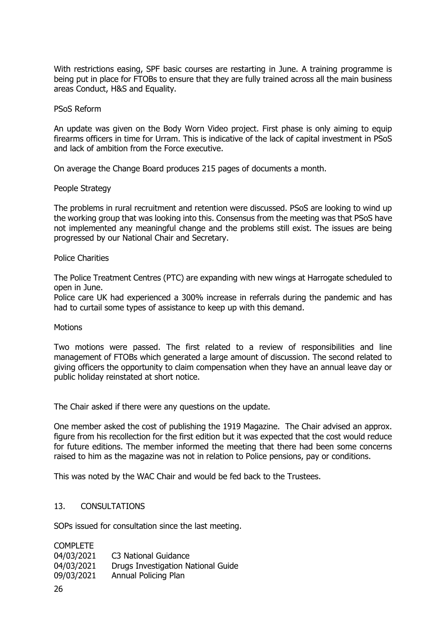With restrictions easing, SPF basic courses are restarting in June. A training programme is being put in place for FTOBs to ensure that they are fully trained across all the main business areas Conduct, H&S and Equality.

#### PSoS Reform

An update was given on the Body Worn Video project. First phase is only aiming to equip firearms officers in time for Urram. This is indicative of the lack of capital investment in PSoS and lack of ambition from the Force executive.

On average the Change Board produces 215 pages of documents a month.

#### People Strategy

The problems in rural recruitment and retention were discussed. PSoS are looking to wind up the working group that was looking into this. Consensus from the meeting was that PSoS have not implemented any meaningful change and the problems still exist. The issues are being progressed by our National Chair and Secretary.

#### Police Charities

The Police Treatment Centres (PTC) are expanding with new wings at Harrogate scheduled to open in June.

Police care UK had experienced a 300% increase in referrals during the pandemic and has had to curtail some types of assistance to keep up with this demand.

#### **Motions**

Two motions were passed. The first related to a review of responsibilities and line management of FTOBs which generated a large amount of discussion. The second related to giving officers the opportunity to claim compensation when they have an annual leave day or public holiday reinstated at short notice.

The Chair asked if there were any questions on the update.

One member asked the cost of publishing the 1919 Magazine. The Chair advised an approx. figure from his recollection for the first edition but it was expected that the cost would reduce for future editions. The member informed the meeting that there had been some concerns raised to him as the magazine was not in relation to Police pensions, pay or conditions.

This was noted by the WAC Chair and would be fed back to the Trustees.

### 13. CONSULTATIONS

SOPs issued for consultation since the last meeting.

COMPLETE 04/03/2021 C3 National Guidance 04/03/2021 Drugs Investigation National Guide 09/03/2021 Annual Policing Plan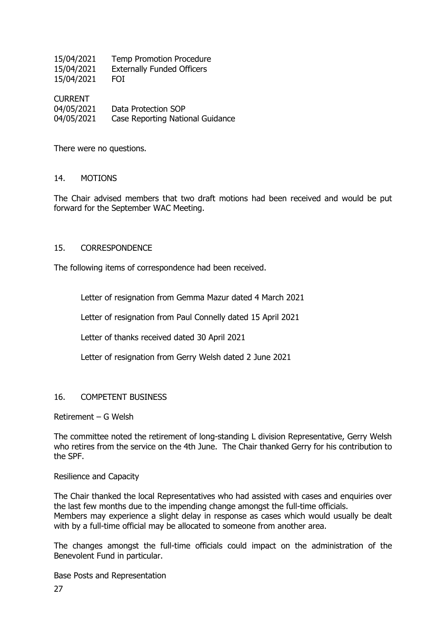| 15/04/2021 | <b>Temp Promotion Procedure</b>   |
|------------|-----------------------------------|
| 15/04/2021 | <b>Externally Funded Officers</b> |
| 15/04/2021 | <b>FOI</b>                        |

| <b>CURRENT</b> |
|----------------|
|                |

| 04/05/2021 | Data Protection SOP              |
|------------|----------------------------------|
| 04/05/2021 | Case Reporting National Guidance |

There were no questions.

### 14. MOTIONS

The Chair advised members that two draft motions had been received and would be put forward for the September WAC Meeting.

### 15. CORRESPONDENCE

The following items of correspondence had been received.

Letter of resignation from Gemma Mazur dated 4 March 2021

Letter of resignation from Paul Connelly dated 15 April 2021

Letter of thanks received dated 30 April 2021

Letter of resignation from Gerry Welsh dated 2 June 2021

### 16. COMPETENT BUSINESS

#### Retirement – G Welsh

The committee noted the retirement of long-standing L division Representative, Gerry Welsh who retires from the service on the 4th June. The Chair thanked Gerry for his contribution to the SPF.

#### Resilience and Capacity

The Chair thanked the local Representatives who had assisted with cases and enquiries over the last few months due to the impending change amongst the full-time officials. Members may experience a slight delay in response as cases which would usually be dealt with by a full-time official may be allocated to someone from another area.

The changes amongst the full-time officials could impact on the administration of the Benevolent Fund in particular.

Base Posts and Representation